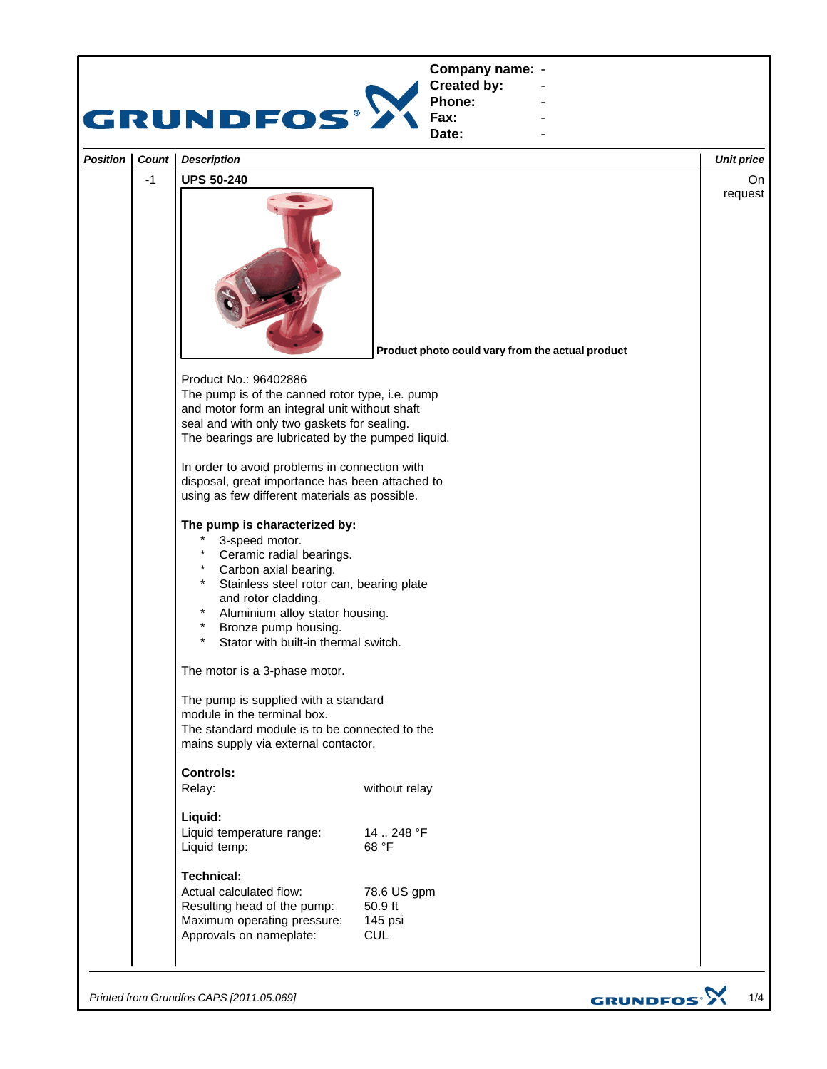

*Printed from Grundfos CAPS [2011.05.069]*

GRUNDFOS<sup>.</sup>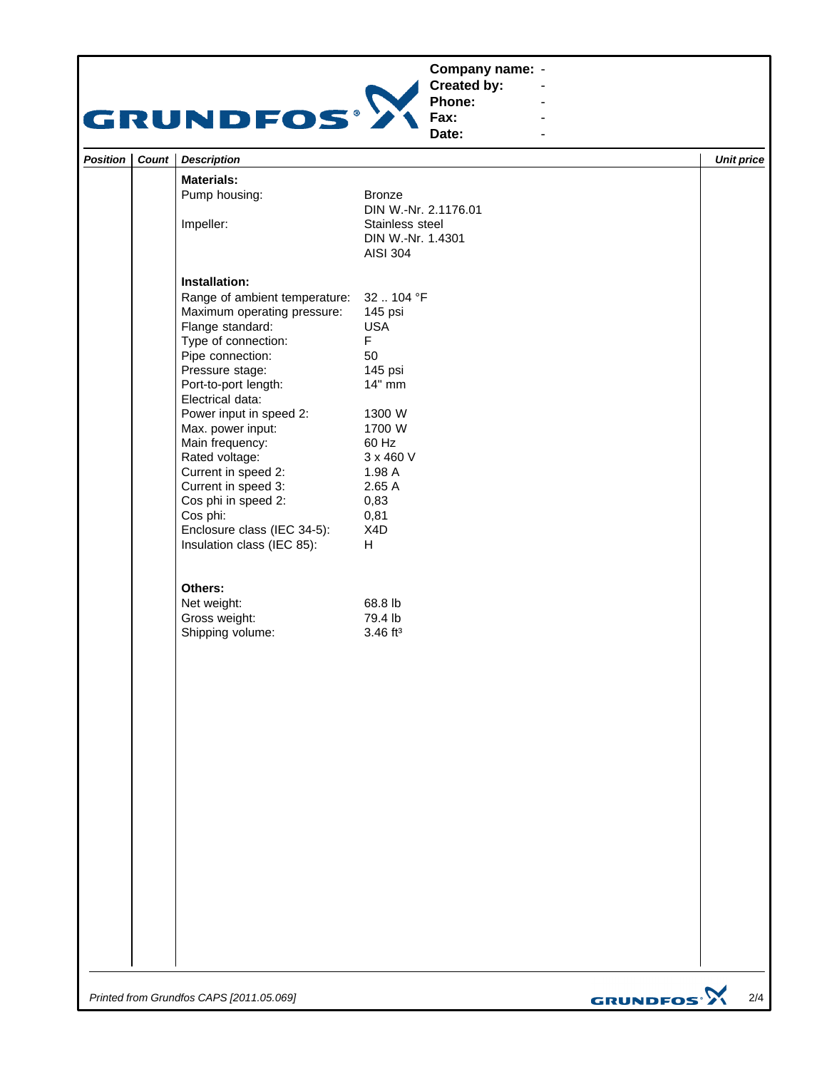## **Company name: -** Construction of the construction



**Created by: Phone:**

**Fax: Date:**

**-** Construction of the construction

**-** Andrew March 2014 **-** Andrew March 2014 **-** Andrew March 2014

| Position | Count | <b>Description</b>                             |                                         | <b>Unit price</b> |
|----------|-------|------------------------------------------------|-----------------------------------------|-------------------|
|          |       | <b>Materials:</b>                              |                                         |                   |
|          |       | Pump housing:                                  | Bronze                                  |                   |
|          |       | Impeller:                                      | DIN W.-Nr. 2.1176.01<br>Stainless steel |                   |
|          |       |                                                | DIN W.-Nr. 1.4301                       |                   |
|          |       |                                                | <b>AISI 304</b>                         |                   |
|          |       |                                                |                                         |                   |
|          |       | Installation:<br>Range of ambient temperature: | 32  104 °F                              |                   |
|          |       | Maximum operating pressure:                    | 145 psi                                 |                   |
|          |       | Flange standard:                               | <b>USA</b>                              |                   |
|          |       | Type of connection:                            | F                                       |                   |
|          |       | Pipe connection:                               | 50                                      |                   |
|          |       | Pressure stage:                                | 145 psi                                 |                   |
|          |       | Port-to-port length:                           | 14" mm                                  |                   |
|          |       | Electrical data:                               |                                         |                   |
|          |       | Power input in speed 2:                        | 1300 W                                  |                   |
|          |       | Max. power input:                              | 1700 W                                  |                   |
|          |       | Main frequency:                                | 60 Hz                                   |                   |
|          |       | Rated voltage:                                 | 3 x 460 V                               |                   |
|          |       | Current in speed 2:                            | 1.98 A                                  |                   |
|          |       | Current in speed 3:                            | 2.65 A                                  |                   |
|          |       | Cos phi in speed 2:                            | 0,83                                    |                   |
|          |       | Cos phi:                                       | 0,81                                    |                   |
|          |       | Enclosure class (IEC 34-5):                    | X4D                                     |                   |
|          |       | Insulation class (IEC 85):                     | H.                                      |                   |
|          |       | Others:                                        |                                         |                   |
|          |       | Net weight:                                    | 68.8 lb                                 |                   |
|          |       | Gross weight:                                  | 79.4 lb                                 |                   |
|          |       | Shipping volume:                               | $3.46$ ft <sup>3</sup>                  |                   |
|          |       |                                                |                                         |                   |
|          |       |                                                |                                         |                   |
|          |       |                                                |                                         |                   |
|          |       |                                                |                                         |                   |
|          |       |                                                |                                         |                   |
|          |       |                                                |                                         |                   |
|          |       |                                                |                                         |                   |
|          |       |                                                |                                         |                   |
|          |       |                                                |                                         |                   |
|          |       |                                                |                                         |                   |
|          |       |                                                |                                         |                   |
|          |       |                                                |                                         |                   |
|          |       |                                                |                                         |                   |
|          |       |                                                |                                         |                   |
|          |       |                                                |                                         |                   |
|          |       |                                                |                                         |                   |
|          |       |                                                |                                         |                   |
|          |       |                                                |                                         |                   |
|          |       |                                                |                                         |                   |
|          |       |                                                |                                         |                   |
|          |       |                                                |                                         |                   |
|          |       |                                                |                                         |                   |
|          |       |                                                |                                         |                   |

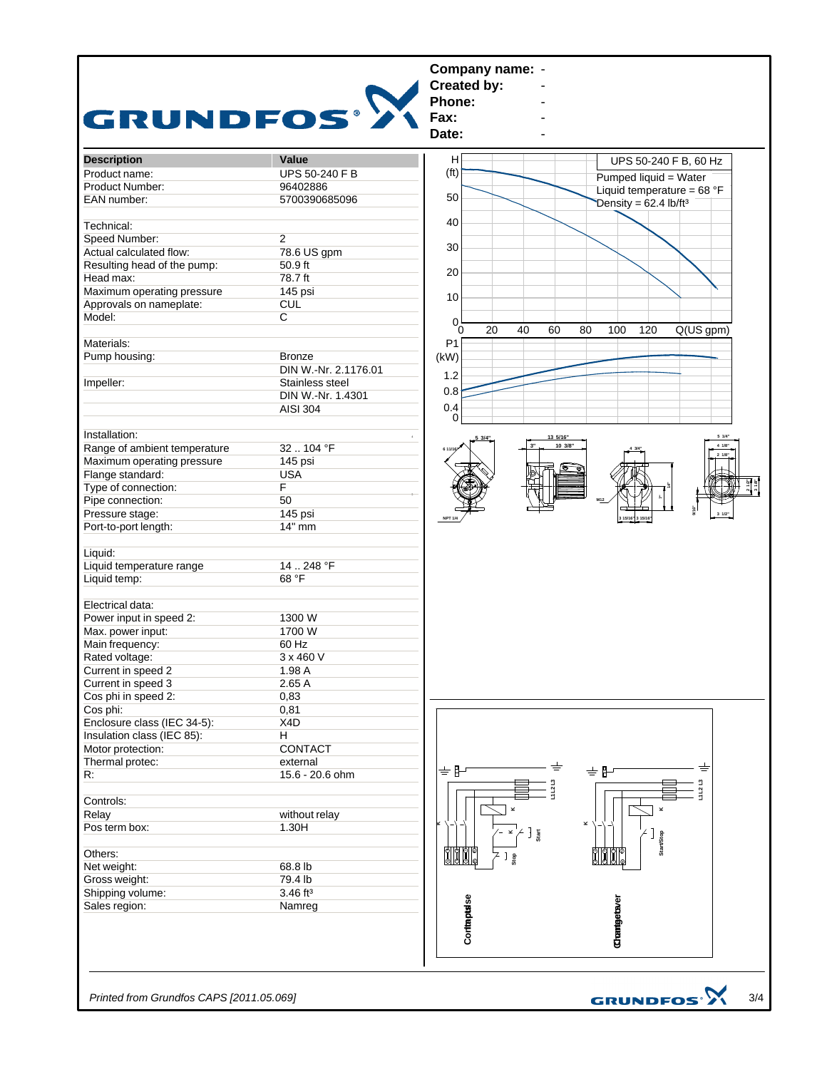